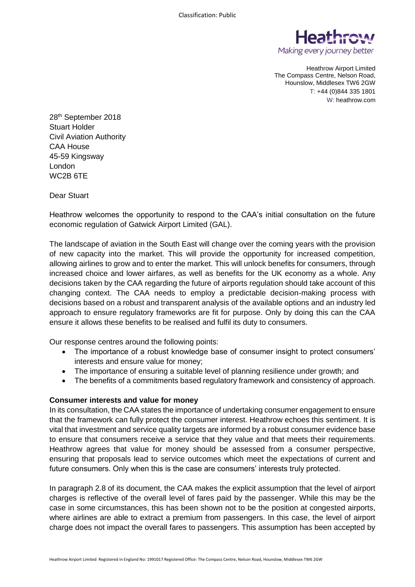

Heathrow Airport Limited The Compass Centre, Nelson Road, Hounslow, Middlesex TW6 2GW T: +44 (0)844 335 1801 W: heathrow.com

28th September 2018 Stuart Holder Civil Aviation Authority CAA House 45-59 Kingsway London WC2B 6TE

Dear Stuart

Heathrow welcomes the opportunity to respond to the CAA's initial consultation on the future economic regulation of Gatwick Airport Limited (GAL).

The landscape of aviation in the South East will change over the coming years with the provision of new capacity into the market. This will provide the opportunity for increased competition, allowing airlines to grow and to enter the market. This will unlock benefits for consumers, through increased choice and lower airfares, as well as benefits for the UK economy as a whole. Any decisions taken by the CAA regarding the future of airports regulation should take account of this changing context. The CAA needs to employ a predictable decision-making process with decisions based on a robust and transparent analysis of the available options and an industry led approach to ensure regulatory frameworks are fit for purpose. Only by doing this can the CAA ensure it allows these benefits to be realised and fulfil its duty to consumers.

Our response centres around the following points:

- The importance of a robust knowledge base of consumer insight to protect consumers' interests and ensure value for money;
- The importance of ensuring a suitable level of planning resilience under growth; and
- The benefits of a commitments based regulatory framework and consistency of approach.

## **Consumer interests and value for money**

In its consultation, the CAA states the importance of undertaking consumer engagement to ensure that the framework can fully protect the consumer interest. Heathrow echoes this sentiment. It is vital that investment and service quality targets are informed by a robust consumer evidence base to ensure that consumers receive a service that they value and that meets their requirements. Heathrow agrees that value for money should be assessed from a consumer perspective, ensuring that proposals lead to service outcomes which meet the expectations of current and future consumers. Only when this is the case are consumers' interests truly protected.

In paragraph 2.8 of its document, the CAA makes the explicit assumption that the level of airport charges is reflective of the overall level of fares paid by the passenger. While this may be the case in some circumstances, this has been shown not to be the position at congested airports, where airlines are able to extract a premium from passengers. In this case, the level of airport charge does not impact the overall fares to passengers. This assumption has been accepted by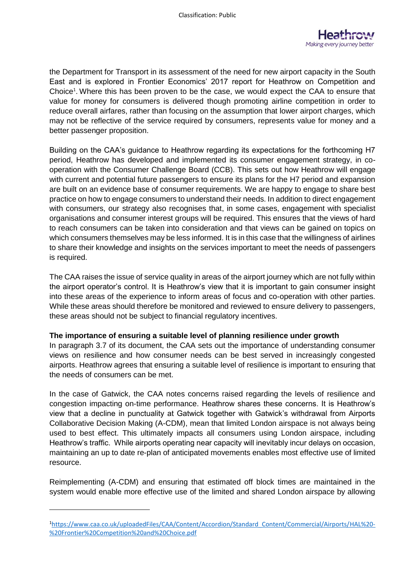

the Department for Transport in its assessment of the need for new airport capacity in the South East and is explored in Frontier Economics' 2017 report for Heathrow on Competition and Choice<sup>1</sup>. Where this has been proven to be the case, we would expect the CAA to ensure that value for money for consumers is delivered though promoting airline competition in order to reduce overall airfares, rather than focusing on the assumption that lower airport charges, which may not be reflective of the service required by consumers, represents value for money and a better passenger proposition.

Building on the CAA's guidance to Heathrow regarding its expectations for the forthcoming H7 period, Heathrow has developed and implemented its consumer engagement strategy, in cooperation with the Consumer Challenge Board (CCB). This sets out how Heathrow will engage with current and potential future passengers to ensure its plans for the H7 period and expansion are built on an evidence base of consumer requirements. We are happy to engage to share best practice on how to engage consumers to understand their needs. In addition to direct engagement with consumers, our strategy also recognises that, in some cases, engagement with specialist organisations and consumer interest groups will be required. This ensures that the views of hard to reach consumers can be taken into consideration and that views can be gained on topics on which consumers themselves may be less informed. It is in this case that the willingness of airlines to share their knowledge and insights on the services important to meet the needs of passengers is required.

The CAA raises the issue of service quality in areas of the airport journey which are not fully within the airport operator's control. It is Heathrow's view that it is important to gain consumer insight into these areas of the experience to inform areas of focus and co-operation with other parties. While these areas should therefore be monitored and reviewed to ensure delivery to passengers, these areas should not be subject to financial regulatory incentives.

## **The importance of ensuring a suitable level of planning resilience under growth**

In paragraph 3.7 of its document, the CAA sets out the importance of understanding consumer views on resilience and how consumer needs can be best served in increasingly congested airports. Heathrow agrees that ensuring a suitable level of resilience is important to ensuring that the needs of consumers can be met.

In the case of Gatwick, the CAA notes concerns raised regarding the levels of resilience and congestion impacting on-time performance. Heathrow shares these concerns. It is Heathrow's view that a decline in punctuality at Gatwick together with Gatwick's withdrawal from Airports Collaborative Decision Making (A-CDM), mean that limited London airspace is not always being used to best effect. This ultimately impacts all consumers using London airspace, including Heathrow's traffic. While airports operating near capacity will inevitably incur delays on occasion, maintaining an up to date re-plan of anticipated movements enables most effective use of limited resource.

Reimplementing (A-CDM) and ensuring that estimated off block times are maintained in the system would enable more effective use of the limited and shared London airspace by allowing

 $\overline{a}$ 

<sup>1</sup>[https://www.caa.co.uk/uploadedFiles/CAA/Content/Accordion/Standard\\_Content/Commercial/Airports/HAL%20-](https://www.caa.co.uk/uploadedFiles/CAA/Content/Accordion/Standard_Content/Commercial/Airports/HAL%20-%20Frontier%20Competition%20and%20Choice.pdf) [%20Frontier%20Competition%20and%20Choice.pdf](https://www.caa.co.uk/uploadedFiles/CAA/Content/Accordion/Standard_Content/Commercial/Airports/HAL%20-%20Frontier%20Competition%20and%20Choice.pdf)